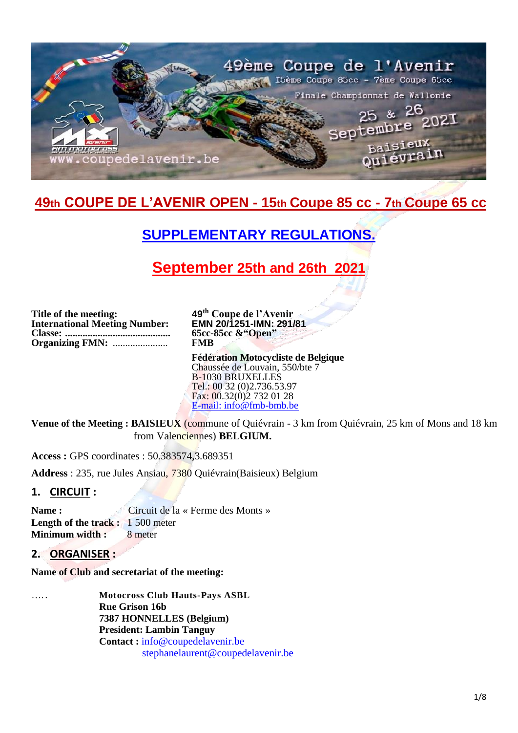

# **49th COUPE DE L'AVENIR OPEN - 15th Coupe 85 cc - 7th Coupe 65 cc**

# **SUPPLEMENTARY REGULATIONS.**

# **September 25th and 26th 2021**

**Title of the meeting: International Meeting Number: Classe: .......................................... Organizing FMN:** ......................

**49 th Coupe de l'Avenir EMN 20/1251-IMN: 291/81 65cc-85cc &"Open" FMB**

**Fédération Motocycliste de Belgique** Chaussée de Louvain, 550/bte 7 B-1030 BRUXELLES Tel.: 00 32 (0)2.736.53.97 Fax: 00.32(0)2 732 01 28 [E-mail: info@fmb-bmb.be](mailto:info@fmb-bmb.be)

**Venue of the Meeting : BAISIEUX** (commune of Quiévrain - 3 km from Quiévrain, 25 km of Mons and 18 km from Valenciennes) **BELGIUM.**

**Access :** GPS coordinates : 50.383574,3.689351

**Address** : 235, rue Jules Ansiau, 7380 Quiévrain(Baisieux) Belgium

## **1. CIRCUIT :**

Name : Circuit de la « Ferme des Monts » **Length of the track :** 1 500 meter **Minimum width : 8 meter** 

## **2. ORGANISER :**

**Name of Club and secretariat of the meeting:**

….. **Motocross Club Hauts-Pays ASBL Rue Grison 16b 7387 HONNELLES (Belgium) President: Lambin Tanguy Contact :** [info@coupedelavenir.be](mailto:info@coupedelavenir.be) [stephanelaurent@coupedelavenir.be](mailto:stephanelaurent@coupedelavenir.be)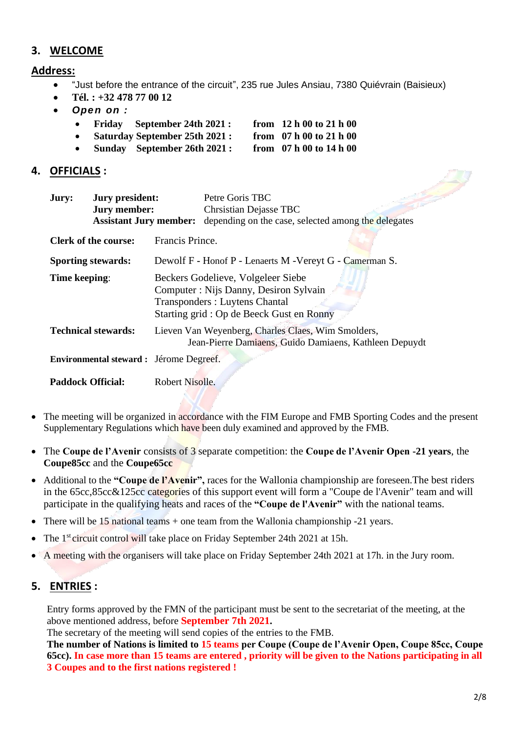## **3. WELCOME**

**Address:**

- "Just before the entrance of the circuit", 235 rue Jules Ansiau, 7380 Quiévrain (Baisieux)
- **Tél. : +32 478 77 00 12**
- *Open on :*
	- **Friday September 24th 2021 : from 12 h 00 to 21 h 00**
		- **Saturday September 25th 2021 : from 07 h 00 to 21 h 00**
	- **Sunday September 26th 2021 : from 07 h 00 to 14 h 00**

## **4. OFFICIALS :**

| Jury:                     | <b>Jury president:</b><br>Jury member:<br><b>Assistant Jury member:</b> |                                                                                                                                                                 | Petre Goris TBC<br>Chrsistian Dejasse TBC<br>depending on the case, selected among the delegates             |  |
|---------------------------|-------------------------------------------------------------------------|-----------------------------------------------------------------------------------------------------------------------------------------------------------------|--------------------------------------------------------------------------------------------------------------|--|
|                           | <b>Clerk of the course:</b>                                             | Francis Prince.                                                                                                                                                 |                                                                                                              |  |
| <b>Sporting stewards:</b> |                                                                         | Dewolf F - Honof P - Lenaerts M - Vereyt G - Camerman S.                                                                                                        |                                                                                                              |  |
| Time keeping:             |                                                                         | Beckers Godelieve, Volgeleer Siebe<br>Computer: Nijs Danny, Desiron Sylvain<br><b>Transponders: Luytens Chantal</b><br>Starting grid: Op de Beeck Gust en Ronny |                                                                                                              |  |
|                           | <b>Technical stewards:</b>                                              |                                                                                                                                                                 | Lieven Van Weyenberg, Charles Claes, Wim Smolders,<br>Jean-Pierre Damiaens, Guido Damiaens, Kathleen Depuydt |  |
|                           | Environmental steward : Jérome Degreef.                                 |                                                                                                                                                                 |                                                                                                              |  |
| <b>Paddock Official:</b>  |                                                                         | Robert Nisolle.                                                                                                                                                 |                                                                                                              |  |

- The meeting will be organized in accordance with the FIM Europe and FMB Sporting Codes and the present Supplementary Regulations which have been duly examined and approved by the FMB.
- The **Coupe de l'Avenir** consists of 3 separate competition: the **Coupe de l'Avenir Open -21 years**, the **Coupe85cc** and the **Coupe65cc**
- Additional to the **"Coupe de l'Avenir",** races for the Wallonia championship are foreseen.The best riders in the 65cc,85cc&125cc categories of this support event will form a "Coupe de l'Avenir" team and will participate in the qualifying heats and races of the **"Coupe de l'Avenir"** with the national teams.
- There will be 15 national teams + one team from the Wallonia championship -21 years.
- The 1<sup>st</sup> circuit control will take place on Friday September 24th 2021 at 15h.
- A meeting with the organisers will take place on Friday September 24th 2021 at 17h. in the Jury room.

# **5. ENTRIES :**

Entry forms approved by the FMN of the participant must be sent to the secretariat of the meeting, at the above mentioned address, before **September 7th 2021.**

The secretary of the meeting will send copies of the entries to the FMB.

**The number of Nations is limited to 15 teams per Coupe (Coupe de l'Avenir Open, Coupe 85cc, Coupe 65cc). In case more than 15 teams are entered , priority will be given to the Nations participating in all 3 Coupes and to the first nations registered !**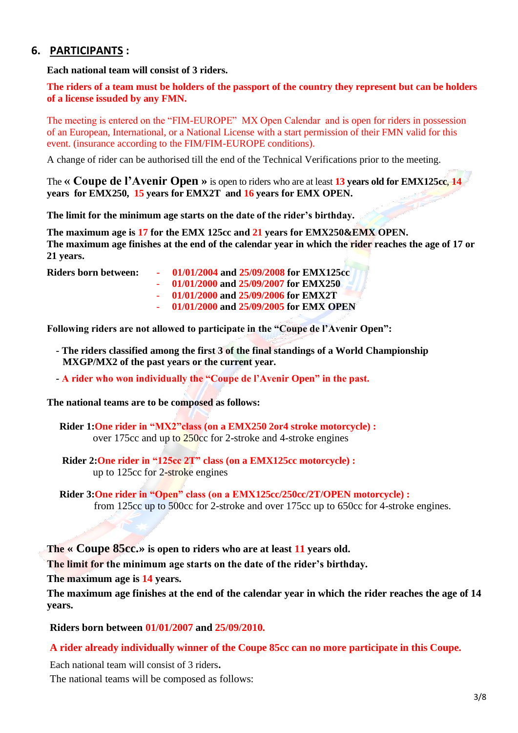## **6. PARTICIPANTS :**

**Each national team will consist of 3 riders.**

**The riders of a team must be holders of the passport of the country they represent but can be holders of a license issuded by any FMN.**

The meeting is entered on the "FIM-EUROPE" MX Open Calendar and is open for riders in possession of an European, International, or a National License with a start permission of their FMN valid for this event. (insurance according to the FIM/FIM-EUROPE conditions).

A change of rider can be authorised till the end of the Technical Verifications prior to the meeting.

The **« Coupe de l'Avenir Open »** is open to riders who are at least **13 years old for EMX125cc**, **14 years for EMX250, 15 years for EMX2T and 16 years for EMX OPEN.**

**The limit for the minimum age starts on the date of the rider's birthday.**

**The maximum age is 17 for the EMX 125cc and 21 years for EMX250&EMX OPEN. The maximum age finishes at the end of the calendar year in which the rider reaches the age of 17 or 21 years.**

- **Riders born between: 01/01/2004 and 25/09/2008 for EMX125cc**
	- **01/01/2000 and 25/09/2007 for EMX250**
	- **01/01/2000 and 25/09/2006 for EMX2T**
	- **01/01/2000 and 25/09/2005 for EMX OPEN**

**Following riders are not allowed to participate in the "Coupe de l'Avenir Open":**

- **- The riders classified among the first 3 of the final standings of a World Championship MXGP/MX2 of the past years or the current year.**
- **- A rider who won individually the "Coupe de l'Avenir Open" in the past.**

**The national teams are to be composed as follows:**

**Rider 1:One rider in "MX2"class (on a EMX250 2or4 stroke motorcycle) :** over 175cc and up to 250cc for 2-stroke and 4-stroke engines

**Rider 2:One rider in "125cc 2T" class (on a EMX125cc motorcycle) :** up to 125cc for 2-stroke engines

**Rider 3:One rider in "Open" class (on a EMX125cc/250cc/2T/OPEN motorcycle) :** from 125cc up to 500cc for 2-stroke and over 175cc up to 650cc for 4-stroke engines.

#### **The « Coupe 85cc.» is open to riders who are at least 11 years old.**

**The limit for the minimum age starts on the date of the rider's birthday.**

**The maximum age is 14 years.**

**The maximum age finishes at the end of the calendar year in which the rider reaches the age of 14 years.**

**Riders born between 01/01/2007 and 25/09/2010.**

#### **A rider already individually winner of the Coupe 85cc can no more participate in this Coupe.**

Each national team will consist of 3 riders**.**

The national teams will be composed as follows: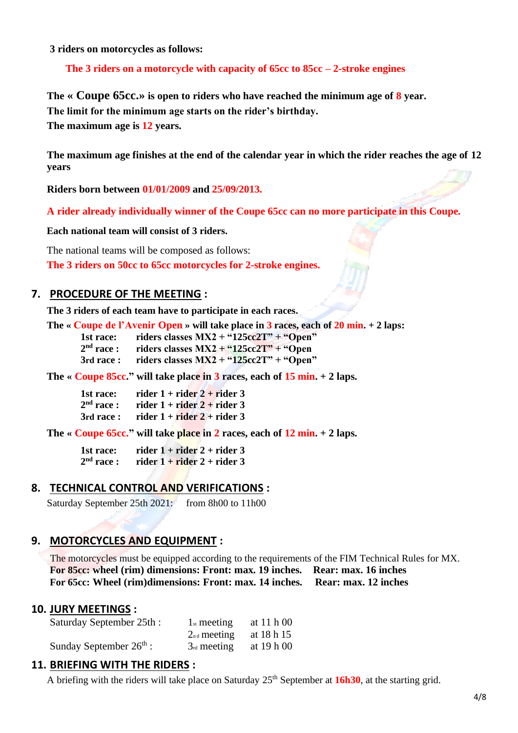**3 riders on motorcycles as follows:** 

**The 3 riders on a motorcycle with capacity of 65cc to 85cc – 2-stroke engines**

**The « Coupe 65cc.» is open to riders who have reached the minimum age of 8 year. The limit for the minimum age starts on the rider's birthday. The maximum age is 12 years.**

**The maximum age finishes at the end of the calendar year in which the rider reaches the age of 12 years**

**Riders born between 01/01/2009 and 25/09/2013.**

**A rider already individually winner of the Coupe 65cc can no more participate in this Coupe.**

**Each national team will consist of 3 riders.**

The national teams will be composed as follows: **The 3 riders on 50cc to 65cc motorcycles for 2-stroke engines.**

#### **7. PROCEDURE OF THE MEETING :**

**The 3 riders of each team have to participate in each races.**

**The « Coupe de l'Avenir Open » will take place in 3 races, each of 20 min. + 2 laps:**

**1st race: riders classes MX2 + "125cc2T" + "Open"**

 $2<sup>nd</sup>$  race : riders classes  $MX2 + "125cc2T" + "Open$ 

**3rd race : riders classes MX2 + "125cc2T" + "Open"**

**The « Coupe 85cc." will take place in 3 races, each of 15 min. + 2 laps.**

| 1st race:    | rider $1 +$ rider $2 +$ rider 3 |
|--------------|---------------------------------|
| $2nd$ race : | rider $1 +$ rider $2 +$ rider 3 |
| 3rd race:    | rider $1 +$ rider $2 +$ rider 3 |

**The « Coupe 65cc." will take place in 2 races, each of 12 min. + 2 laps.**

1st race:  $\arctan 1 + \arctan 2 + \arctan 3$  $2<sup>nd</sup>$  race : rider  $1 +$  rider  $2 +$  rider 3

#### **8. TECHNICAL CONTROL AND VERIFICATIONS :**

Saturday September 25th 2021: from 8h00 to 11h00

## **9. MOTORCYCLES AND EQUIPMENT :**

The motorcycles must be equipped according to the requirements of the FIM Technical Rules for MX. **For 85cc: wheel (rim) dimensions: Front: max. 19 inches. Rear: max. 16 inches For 65cc: Wheel (rim)dimensions: Front: max. 14 inches. Rear: max. 12 inches**

#### **10. JURY MEETINGS :**

| Saturday September 25th:  | $1_{st}$ meeting | at 11 h 00 |
|---------------------------|------------------|------------|
|                           | $2_{nd}$ meeting | at 18 h 15 |
| Sunday September $26th$ : | $3_{rd}$ meeting | at 19 h 00 |

#### **11. BRIEFING WITH THE RIDERS :**

A briefing with the riders will take place on Saturday 25th September at **16h30**, at the starting grid.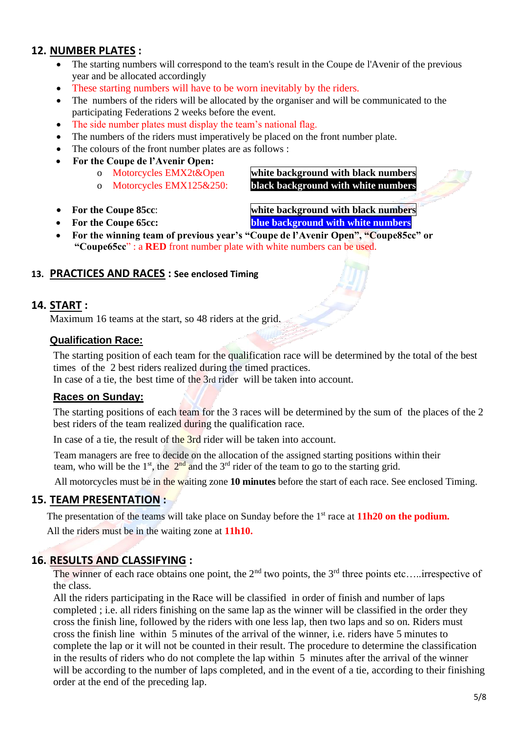## **12. NUMBER PLATES :**

- The starting numbers will correspond to the team's result in the Coupe de l'Avenir of the previous year and be allocated accordingly
- These starting numbers will have to be worn inevitably by the riders.
- The numbers of the riders will be allocated by the organiser and will be communicated to the participating Federations 2 weeks before the event.
- The side number plates must display the team's national flag.
- The numbers of the riders must imperatively be placed on the front number plate.
- The colours of the front number plates are as follows :
- **For the Coupe de l'Avenir Open:**
	-
	-

o Motorcycles EMX2t&Open **white background with black numbers** o Motorcycles EMX125&250: **black background with white numbers**

• **For the Coupe 85cc**: **white background with black numbers**

• **For the Coupe 65cc: blue background with white numbers**

• **For the winning team of previous year's "Coupe de l'Avenir Open", "Coupe85cc" or "Coupe65cc**" : a **RED** front number plate with white numbers can be used.

#### **13. PRACTICES AND RACES : See enclosed Timing**

#### **14. START :**

Maximum 16 teams at the start, so 48 riders at the grid.

#### **Qualification Race:**

The starting position of each team for the qualification race will be determined by the total of the best times of the 2 best riders realized during the timed practices.

In case of a tie, the best time of the 3rd rider will be taken into account.

#### **Races on Sunday:**

The starting positions of each team for the 3 races will be determined by the sum of the places of the 2 best riders of the team realized during the qualification race.

In case of a tie, the result of the 3rd rider will be taken into account.

Team managers are free to decide on the allocation of the assigned starting positions within their team, who will be the  $1^{st}$ , the  $2^{nd}$  and the  $3^{rd}$  rider of the team to go to the starting grid.

All motorcycles must be in the waiting zone **10 minutes** before the start of each race. See enclosed Timing.

#### **15. TEAM PRESENTATION :**

The presentation of the teams will take place on Sunday before the 1<sup>st</sup> race at **11h20** on the podium. All the riders must be in the waiting zone at **11h10.**

## **16. RESULTS AND CLASSIFYING :**

The winner of each race obtains one point, the  $2<sup>nd</sup>$  two points, the  $3<sup>rd</sup>$  three points etc…..irrespective of the class.

All the riders participating in the Race will be classified in order of finish and number of laps completed ; i.e. all riders finishing on the same lap as the winner will be classified in the order they cross the finish line, followed by the riders with one less lap, then two laps and so on. Riders must cross the finish line within 5 minutes of the arrival of the winner, i.e. riders have 5 minutes to complete the lap or it will not be counted in their result. The procedure to determine the classification in the results of riders who do not complete the lap within 5 minutes after the arrival of the winner will be according to the number of laps completed, and in the event of a tie, according to their finishing order at the end of the preceding lap.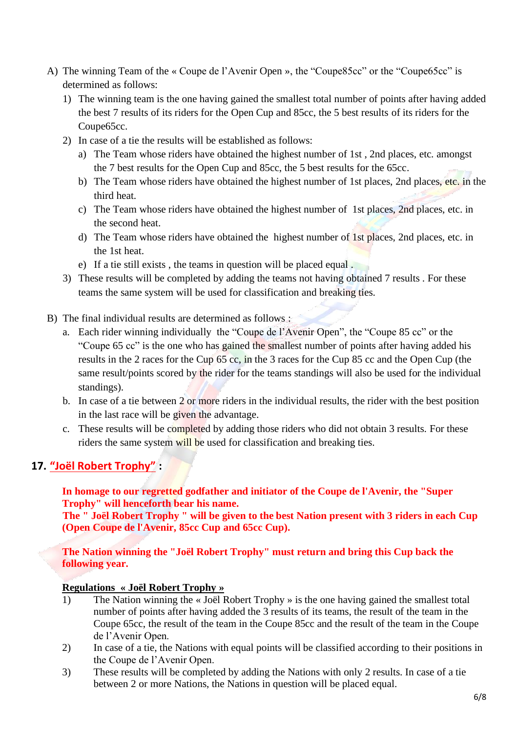- A) The winning Team of the « Coupe de l'Avenir Open », the "Coupe85cc" or the "Coupe65cc" is determined as follows:
	- 1) The winning team is the one having gained the smallest total number of points after having added the best 7 results of its riders for the Open Cup and 85cc, the 5 best results of its riders for the Coupe65cc.
	- 2) In case of a tie the results will be established as follows:
		- a) The Team whose riders have obtained the highest number of 1st , 2nd places, etc. amongst the 7 best results for the Open Cup and 85cc, the 5 best results for the 65cc.
		- b) The Team whose riders have obtained the highest number of 1st places, 2nd places, etc. in the third heat.
		- c) The Team whose riders have obtained the highest number of 1st places, 2nd places, etc. in the second heat.
		- d) The Team whose riders have obtained the highest number of 1st places, 2nd places, etc. in the 1st heat.
		- e) If a tie still exists , the teams in question will be placed equal .
	- 3) These results will be completed by adding the teams not having obtained 7 results . For these teams the same system will be used for classification and breaking ties.
- B) The final individual results are determined as follows :
	- a. Each rider winning individually the "Coupe de l'Avenir Open", the "Coupe 85 cc" or the "Coupe 65 cc" is the one who has gained the smallest number of points after having added his results in the 2 races for the Cup 65 cc, in the 3 races for the Cup 85 cc and the Open Cup (the same result/points scored by the rider for the teams standings will also be used for the individual standings).
	- b. In case of a tie between 2 or more riders in the individual results, the rider with the best position in the last race will be given the advantage.
	- c. These results will be completed by adding those riders who did not obtain 3 results. For these riders the same system will be used for classification and breaking ties.

# **17. "Joël Robert Trophy" :**

**In homage to our regretted godfather and initiator of the Coupe de l'Avenir, the "Super Trophy" will henceforth bear his name.** 

**The " Joël Robert Trophy " will be given to the best Nation present with 3 riders in each Cup (Open Coupe de l'Avenir, 85cc Cup and 65cc Cup).**

**The Nation winning the "Joël Robert Trophy" must return and bring this Cup back the following year.**

#### **Regulations « Joël Robert Trophy »**

- 1) The Nation winning the « Joël Robert Trophy » is the one having gained the smallest total number of points after having added the 3 results of its teams, the result of the team in the Coupe 65cc, the result of the team in the Coupe 85cc and the result of the team in the Coupe de l'Avenir Open.
- 2) In case of a tie, the Nations with equal points will be classified according to their positions in the Coupe de l'Avenir Open.
- 3) These results will be completed by adding the Nations with only 2 results. In case of a tie between 2 or more Nations, the Nations in question will be placed equal.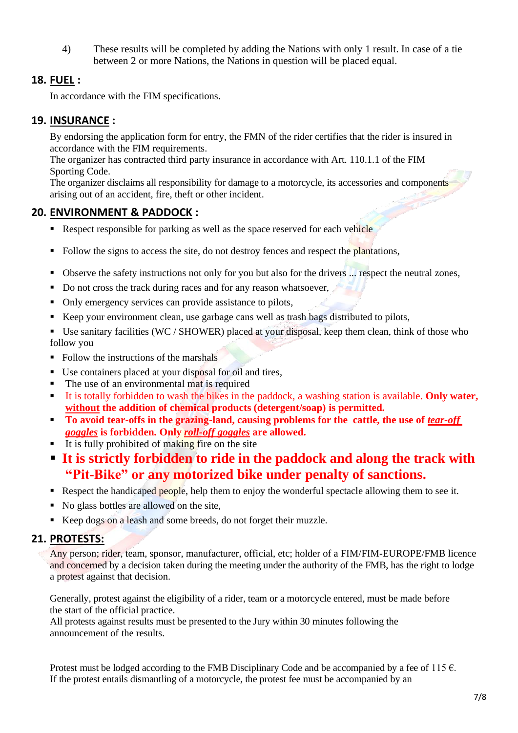4) These results will be completed by adding the Nations with only 1 result. In case of a tie between 2 or more Nations, the Nations in question will be placed equal.

## **18. FUEL :**

In accordance with the FIM specifications.

## **19. INSURANCE :**

By endorsing the application form for entry, the FMN of the rider certifies that the rider is insured in accordance with the FIM requirements.

The organizer has contracted third party insurance in accordance with Art. 110.1.1 of the FIM Sporting Code.

The organizer disclaims all responsibility for damage to a motorcycle, its accessories and components arising out of an accident, fire, theft or other incident.

## **20. ENVIRONMENT & PADDOCK :**

- **EXECUTE:** Respect responsible for parking as well as the space reserved for each vehicle
- Follow the signs to access the site, do not destroy fences and respect the plantations,
- Observe the safety instructions not only for you but also for the drivers ... respect the neutral zones,
- Do not cross the track during races and for any reason whatsoever,
- Only emergency services can provide assistance to pilots,
- Keep your environment clean, use garbage cans well as trash bags distributed to pilots,
- Use sanitary facilities (WC / SHOWER) placed at your disposal, keep them clean, think of those who follow you
- Follow the instructions of the marshals
- Use containers placed at your disposal for oil and tires,
- The use of an environmental mat is required
- It is totally forbidden to wash the bikes in the paddock, a washing station is available. **Only water, without the addition of chemical products (detergent/soap) is permitted.**
- **To avoid tear-offs in the grazing-land, causing problems for the cattle, the use of** *tear-off goggles* **is forbidden. Only** *roll-off goggles* **are allowed.**
- $\blacksquare$  It is fully prohibited of making fire on the site
- **It is strictly forbidden to ride in the paddock and along the track with "Pit-Bike" or any motorized bike under penalty of sanctions.**
- Respect the handicaped people, help them to enjoy the wonderful spectacle allowing them to see it.
- No glass bottles are allowed on the site,
- Keep dogs on a leash and some breeds, do not forget their muzzle.

## **21. PROTESTS:**

Any person; rider, team, sponsor, manufacturer, official, etc; holder of a FIM/FIM-EUROPE/FMB licence and concerned by a decision taken during the meeting under the authority of the FMB, has the right to lodge a protest against that decision.

Generally, protest against the eligibility of a rider, team or a motorcycle entered, must be made before the start of the official practice.

All protests against results must be presented to the Jury within 30 minutes following the announcement of the results.

Protest must be lodged according to the FMB Disciplinary Code and be accompanied by a fee of 115  $\epsilon$ . If the protest entails dismantling of a motorcycle, the protest fee must be accompanied by an